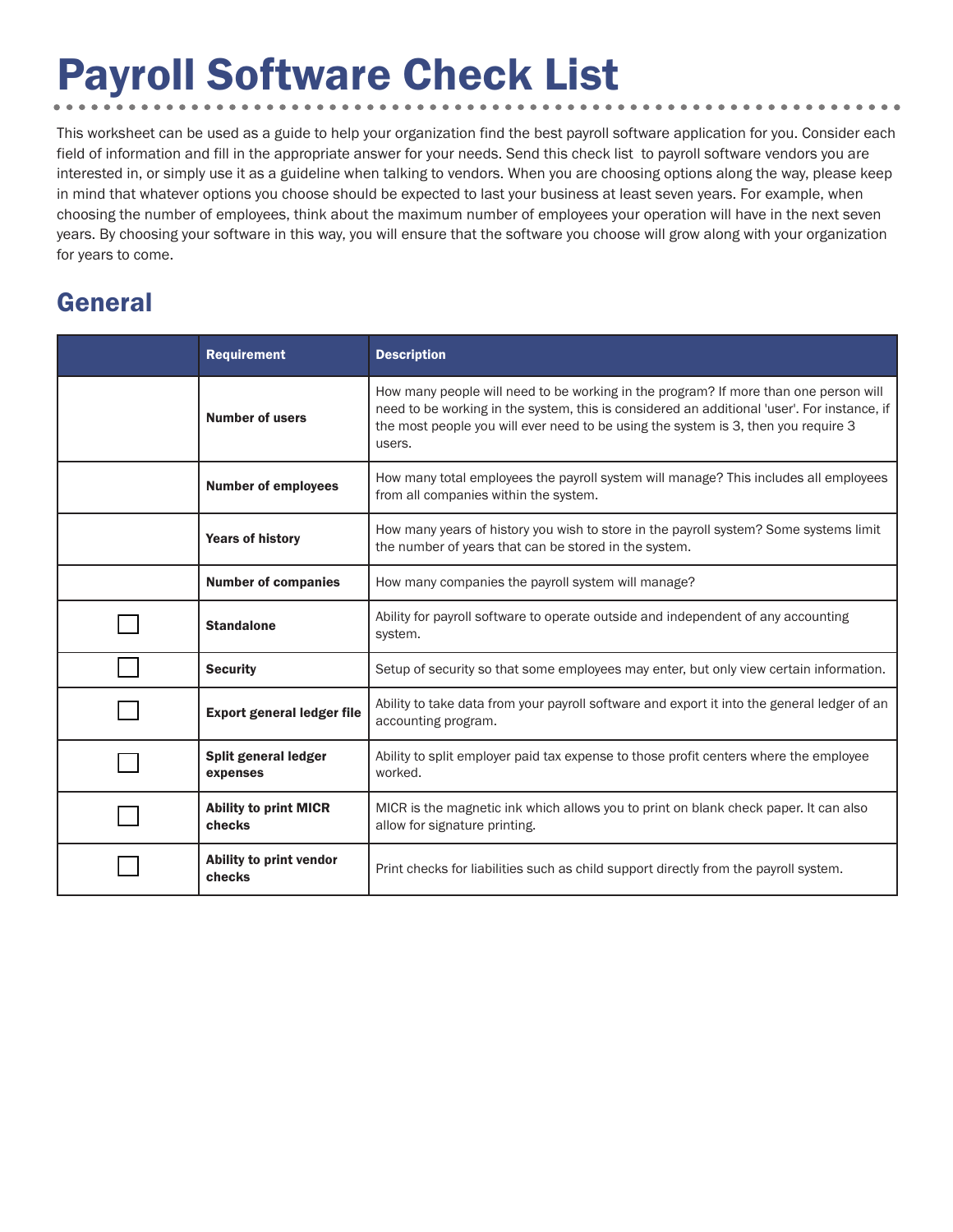# Payroll Software Check List

This worksheet can be used as a guide to help your organization find the best payroll software application for you. Consider each field of information and fill in the appropriate answer for your needs. Send this check list to payroll software vendors you are interested in, or simply use it as a guideline when talking to vendors. When you are choosing options along the way, please keep in mind that whatever options you choose should be expected to last your business at least seven years. For example, when choosing the number of employees, think about the maximum number of employees your operation will have in the next seven years. By choosing your software in this way, you will ensure that the software you choose will grow along with your organization for years to come.

### General

| <b>Requirement</b>                     | <b>Description</b>                                                                                                                                                                                                                                                                  |
|----------------------------------------|-------------------------------------------------------------------------------------------------------------------------------------------------------------------------------------------------------------------------------------------------------------------------------------|
| <b>Number of users</b>                 | How many people will need to be working in the program? If more than one person will<br>need to be working in the system, this is considered an additional 'user'. For instance, if<br>the most people you will ever need to be using the system is 3, then you require 3<br>users. |
| <b>Number of employees</b>             | How many total employees the payroll system will manage? This includes all employees<br>from all companies within the system.                                                                                                                                                       |
| <b>Years of history</b>                | How many years of history you wish to store in the payroll system? Some systems limit<br>the number of years that can be stored in the system.                                                                                                                                      |
| <b>Number of companies</b>             | How many companies the payroll system will manage?                                                                                                                                                                                                                                  |
| <b>Standalone</b>                      | Ability for payroll software to operate outside and independent of any accounting<br>system.                                                                                                                                                                                        |
| <b>Security</b>                        | Setup of security so that some employees may enter, but only view certain information.                                                                                                                                                                                              |
| <b>Export general ledger file</b>      | Ability to take data from your payroll software and export it into the general ledger of an<br>accounting program.                                                                                                                                                                  |
| Split general ledger<br>expenses       | Ability to split employer paid tax expense to those profit centers where the employee<br>worked.                                                                                                                                                                                    |
| <b>Ability to print MICR</b><br>checks | MICR is the magnetic ink which allows you to print on blank check paper. It can also<br>allow for signature printing.                                                                                                                                                               |
| Ability to print vendor<br>checks      | Print checks for liabilities such as child support directly from the payroll system.                                                                                                                                                                                                |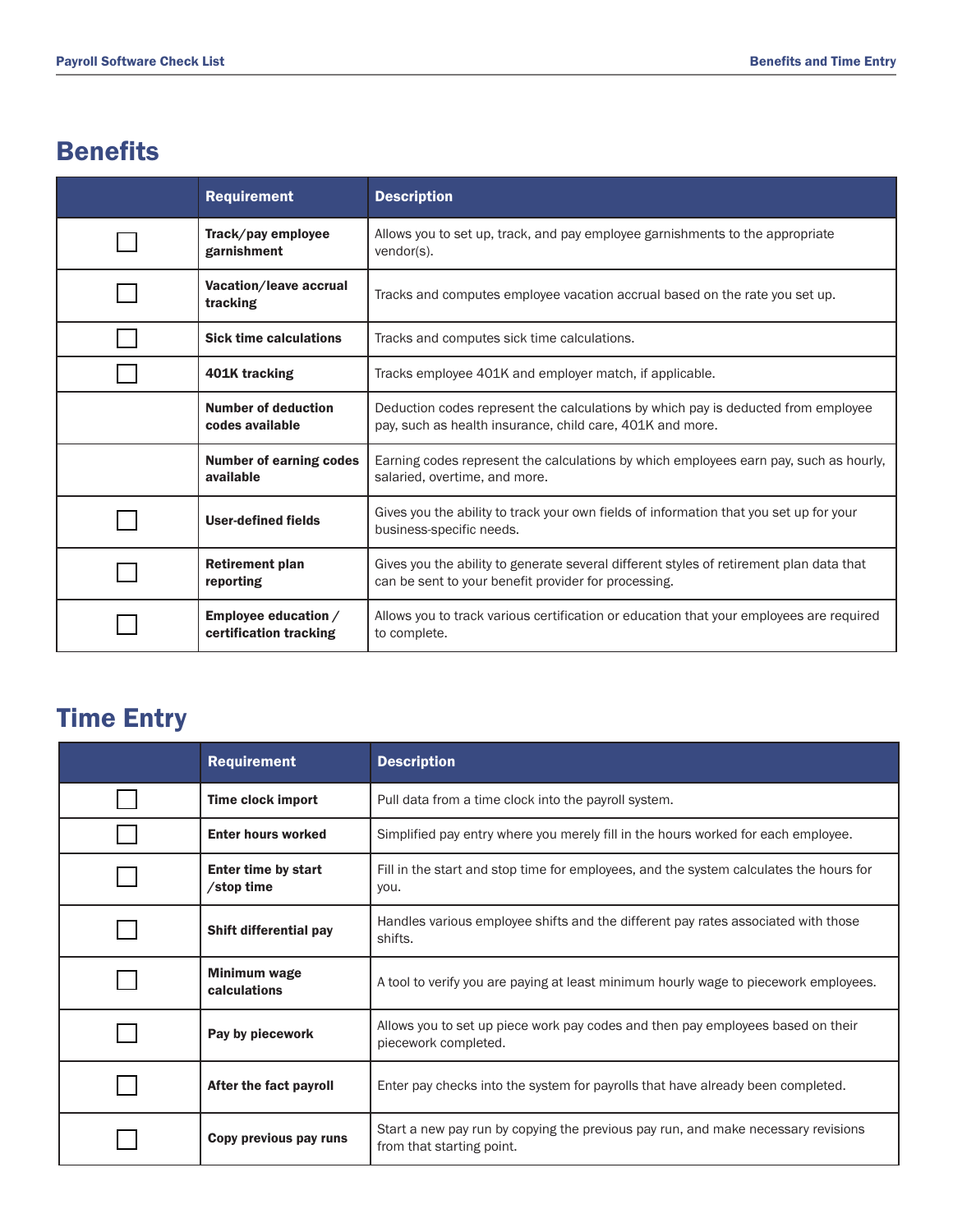## **Benefits**

| <b>Requirement</b>                             | <b>Description</b>                                                                                                                              |
|------------------------------------------------|-------------------------------------------------------------------------------------------------------------------------------------------------|
| Track/pay employee<br>garnishment              | Allows you to set up, track, and pay employee garnishments to the appropriate<br>vendor(s).                                                     |
| Vacation/leave accrual<br>tracking             | Tracks and computes employee vacation accrual based on the rate you set up.                                                                     |
| <b>Sick time calculations</b>                  | Tracks and computes sick time calculations.                                                                                                     |
| 401K tracking                                  | Tracks employee 401K and employer match, if applicable.                                                                                         |
| <b>Number of deduction</b><br>codes available  | Deduction codes represent the calculations by which pay is deducted from employee<br>pay, such as health insurance, child care, 401K and more.  |
| <b>Number of earning codes</b><br>available    | Earning codes represent the calculations by which employees earn pay, such as hourly,<br>salaried, overtime, and more.                          |
| <b>User-defined fields</b>                     | Gives you the ability to track your own fields of information that you set up for your<br>business-specific needs.                              |
| <b>Retirement plan</b><br>reporting            | Gives you the ability to generate several different styles of retirement plan data that<br>can be sent to your benefit provider for processing. |
| Employee education /<br>certification tracking | Allows you to track various certification or education that your employees are required<br>to complete.                                         |

# Time Entry

| <b>Requirement</b>                       | <b>Description</b>                                                                                             |
|------------------------------------------|----------------------------------------------------------------------------------------------------------------|
| <b>Time clock import</b>                 | Pull data from a time clock into the payroll system.                                                           |
| <b>Enter hours worked</b>                | Simplified pay entry where you merely fill in the hours worked for each employee.                              |
| <b>Enter time by start</b><br>/stop time | Fill in the start and stop time for employees, and the system calculates the hours for<br>you.                 |
| <b>Shift differential pay</b>            | Handles various employee shifts and the different pay rates associated with those<br>shifts.                   |
| <b>Minimum wage</b><br>calculations      | A tool to verify you are paying at least minimum hourly wage to piecework employees.                           |
| Pay by piecework                         | Allows you to set up piece work pay codes and then pay employees based on their<br>piecework completed.        |
| After the fact payroll                   | Enter pay checks into the system for payrolls that have already been completed.                                |
| Copy previous pay runs                   | Start a new pay run by copying the previous pay run, and make necessary revisions<br>from that starting point. |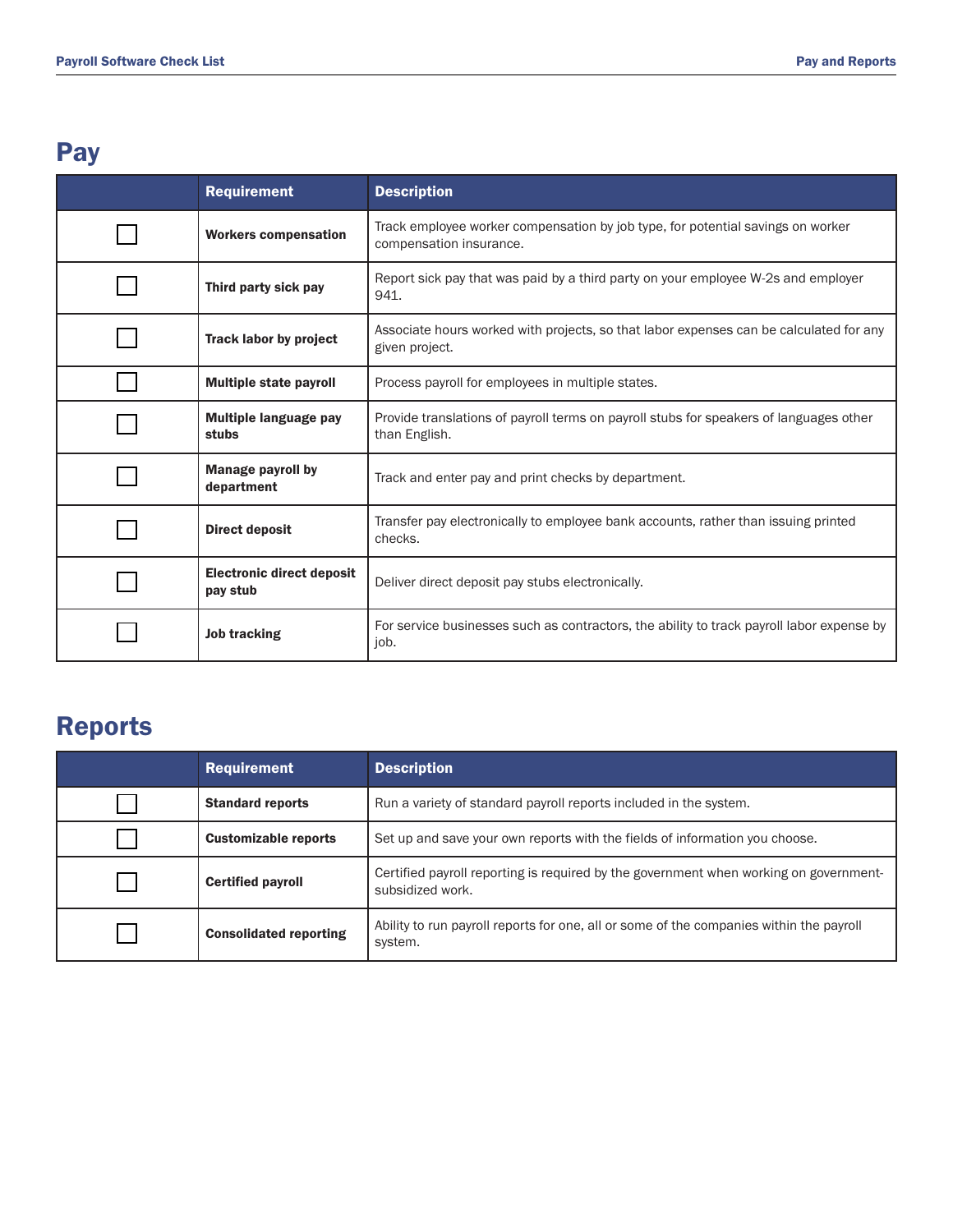### Pay

| <b>Requirement</b>                           | <b>Description</b>                                                                                         |
|----------------------------------------------|------------------------------------------------------------------------------------------------------------|
| <b>Workers compensation</b>                  | Track employee worker compensation by job type, for potential savings on worker<br>compensation insurance. |
| Third party sick pay                         | Report sick pay that was paid by a third party on your employee W-2s and employer<br>941.                  |
| <b>Track labor by project</b>                | Associate hours worked with projects, so that labor expenses can be calculated for any<br>given project.   |
| <b>Multiple state payroll</b>                | Process payroll for employees in multiple states.                                                          |
| <b>Multiple language pay</b><br>stubs        | Provide translations of payroll terms on payroll stubs for speakers of languages other<br>than English.    |
| <b>Manage payroll by</b><br>department       | Track and enter pay and print checks by department.                                                        |
| <b>Direct deposit</b>                        | Transfer pay electronically to employee bank accounts, rather than issuing printed<br>checks.              |
| <b>Electronic direct deposit</b><br>pay stub | Deliver direct deposit pay stubs electronically.                                                           |
| <b>Job tracking</b>                          | For service businesses such as contractors, the ability to track payroll labor expense by<br>job.          |

### Reports

| <b>Requirement</b>            | <b>Description</b>                                                                                        |
|-------------------------------|-----------------------------------------------------------------------------------------------------------|
| <b>Standard reports</b>       | Run a variety of standard payroll reports included in the system.                                         |
| <b>Customizable reports</b>   | Set up and save your own reports with the fields of information you choose.                               |
| <b>Certified payroll</b>      | Certified payroll reporting is required by the government when working on government-<br>subsidized work. |
| <b>Consolidated reporting</b> | Ability to run payroll reports for one, all or some of the companies within the payroll<br>system.        |